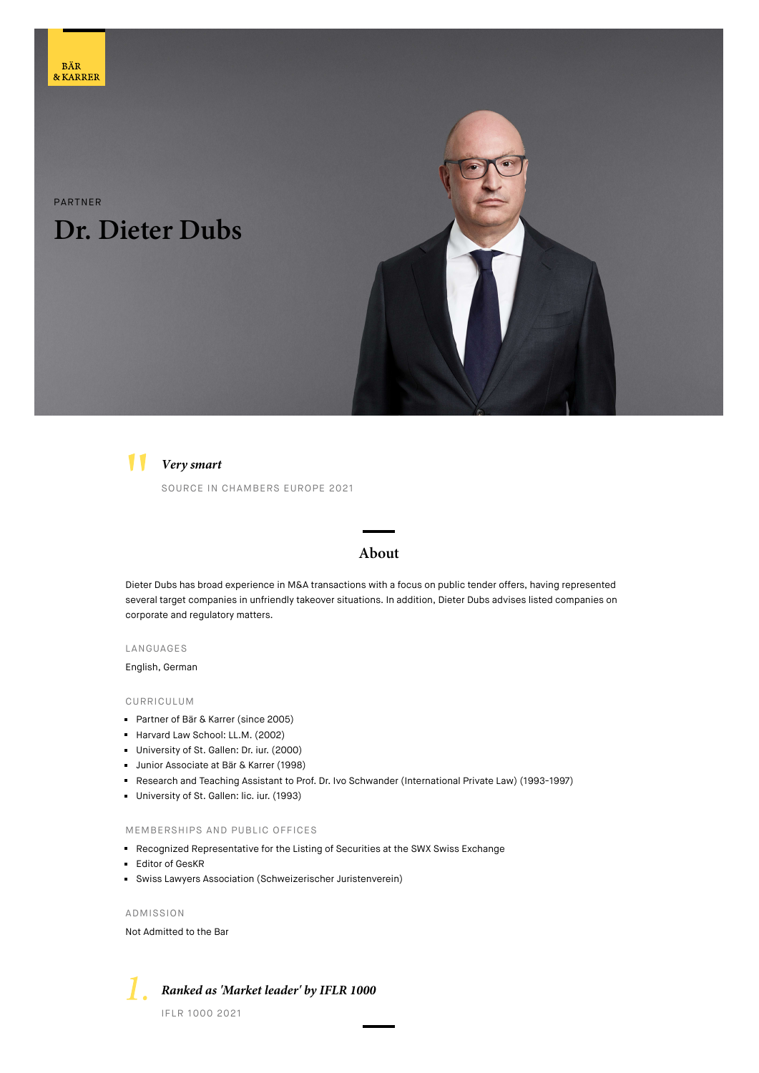# PARTNER **Dr. Dieter Dubs**





### **Very smart**

SOURCE IN CHAMBERS EUROPE 2021

### **About**

Dieter Dubs has broad experience in M&A transactions with a focus on public tender offers, having represented several target companies in unfriendly takeover situations. In addition, Dieter Dubs advises listed companies on corporate and regulatory matters.

LANGUAGES

English, German

#### CURRICULUM

- **Partner of Bär & Karrer (since 2005)**
- Harvard Law School: LL.M. (2002)
- University of St. Gallen: Dr. iur. (2000)
- **Junior Associate at Bär & Karrer (1998)**
- Research and Teaching Assistant to Prof. Dr. Ivo Schwander (International Private Law) (1993-1997)
- University of St. Gallen: lic. iur. (1993)

#### MEMBERSHIPS AND PUBLIC OFFICES

- Recognized Representative for the Listing of Securities at the SWX Swiss Exchange
- Editor of GesKR
- Swiss Lawyers Association (Schweizerischer Juristenverein)

ADMISSION

Not Admitted to the Bar



**Ranked as 'Market leader' by IFLR 1000**

IFLR 1000 2021